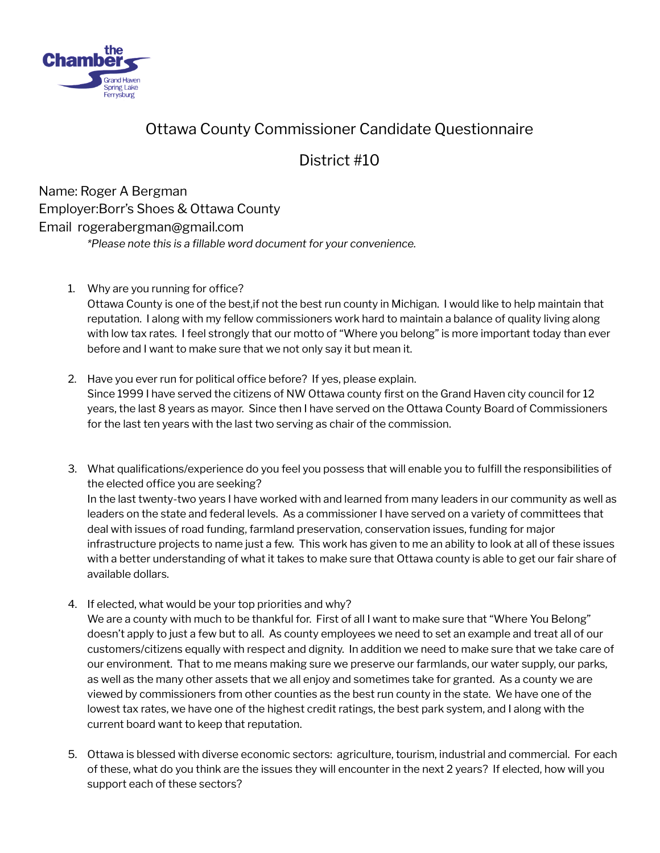

# Ottawa County Commissioner Candidate Questionnaire

# District #10

 Name: Roger A Bergman Employer:Borr's Shoes & Ottawa County Email rogerabergman@gmail.com  *\*Please note this is a fillable word document for your convenience.*

1. Why are you running for office?

 Ottawa County is one of the best,if not the best run county in Michigan. I would like to help maintain that reputation. I along with my fellow commissioners work hard to maintain a balance of quality living along with low tax rates. I feel strongly that our motto of "Where you belong" is more important today than ever before and I want to make sure that we not only say it but mean it.

- 2. Have you ever run for political office before? If yes, please explain. Since 1999 I have served the citizens of NW Ottawa county first on the Grand Haven city council for 12 years, the last 8 years as mayor. Since then I have served on the Ottawa County Board of Commissioners for the last ten years with the last two serving as chair of the commission.
- 3. What qualifications/experience do you feel you possess that will enable you to fulfill the responsibilities of the elected office you are seeking? In the last twenty-two years I have worked with and learned from many leaders in our community as well as leaders on the state and federal levels. As a commissioner I have served on a variety of committees that deal with issues of road funding, farmland preservation, conservation issues, funding for major infrastructure projects to name just a few. This work has given to me an ability to look at all of these issues with a better understanding of what it takes to make sure that Ottawa county is able to get our fair share of available dollars.
- 4. If elected, what would be your top priorities and why?

We are a county with much to be thankful for. First of all I want to make sure that "Where You Belong" doesn't apply to just a few but to all. As county employees we need to set an example and treat all of our customers/citizens equally with respect and dignity. In addition we need to make sure that we take care of our environment. That to me means making sure we preserve our farmlands, our water supply, our parks, as well as the many other assets that we all enjoy and sometimes take for granted. As a county we are viewed by commissioners from other counties as the best run county in the state. We have one of the lowest tax rates, we have one of the highest credit ratings, the best park system, and I along with the current board want to keep that reputation.

 5. Ottawa is blessed with diverse economic sectors: agriculture, tourism, industrial and commercial. For each of these, what do you think are the issues they will encounter in the next 2 years? If elected, how will you support each of these sectors?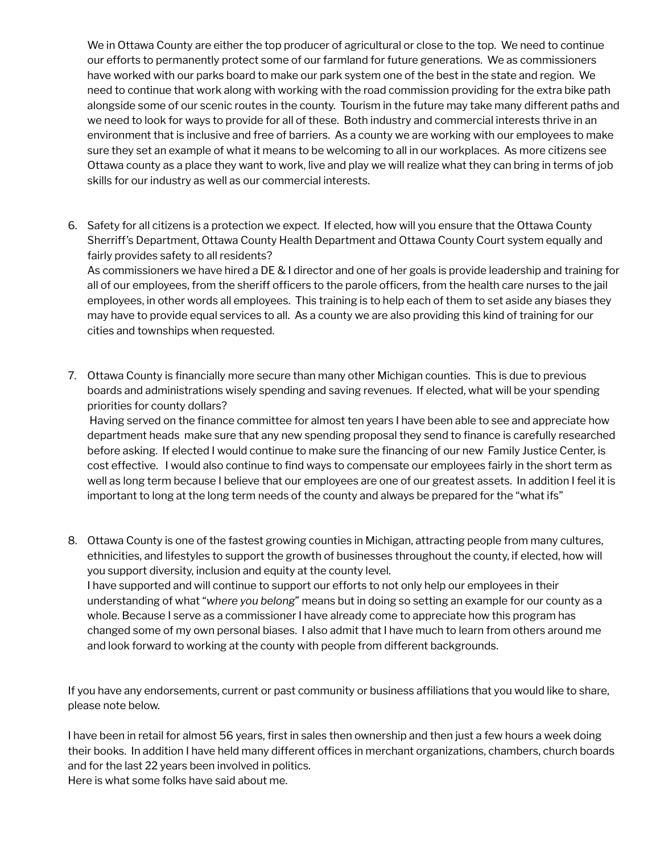We in Ottawa County are either the top producer of agricultural or close to the top. We need to continue our efforts to permanently protect some of our farmland for future generations. We as commissioners have worked with our parks board to make our park system one of the best in the state and region. We need to continue that work along with working with the road commission providing for the extra bike path alongside some of our scenic routes in the county. Tourism in the future may take many different paths and we need to look for ways to provide for all of these. Both industry and commercial interests thrive in an environment that is inclusive and free of barriers. As a county we are working with our employees to make sure they set an example of what it means to be welcoming to all in our workplaces. As more citizens see Ottawa county as a place they want to work, live and play we will realize what they can bring in terms of job skills for our industry as well as our commercial interests.

 6. Safety for all citizens is a protection we expect. If elected, how will you ensure that the Ottawa County Sherriff's Department, Ottawa County Health Department and Ottawa County Court system equally and fairly provides safety to all residents?

 As commissioners we have hired a DE & I director and one of her goals is provide leadership and training for all of our employees, from the sheriff officers to the parole officers, from the health care nurses to the jail employees, in other words all employees. This training is to help each of them to set aside any biases they may have to provide equal services to all. As a county we are also providing this kind of training for our cities and townships when requested.

 7. Ottawa County is financially more secure than many other Michigan counties. This is due to previous boards and administrations wisely spending and saving revenues. If elected, what will be your spending priorities for county dollars?

 Having served on the finance committee for almost ten years I have been able to see and appreciate how department heads make sure that any new spending proposal they send to finance is carefully researched before asking. If elected I would continue to make sure the financing of our new Family Justice Center, is cost effective. I would also continue to find ways to compensate our employees fairly in the short term as well as long term because I believe that our employees are one of our greatest assets. In addition I feel it is important to long at the long term needs of the county and always be prepared for the "what ifs"

 8. Ottawa County is one of the fastest growing counties in Michigan, attracting people from many cultures, ethnicities, and lifestyles to support the growth of businesses throughout the county, if elected, how will you support diversity, inclusion and equity at the county level. I have supported and will continue to support our efforts to not only help our employees in their understanding of what " *where you belong* " means but in doing so setting an example for our county as a whole. Because I serve as a commissioner I have already come to appreciate how this program has changed some of my own personal biases. I also admit that I have much to learn from others around me and look forward to working at the county with people from different backgrounds.

 If you have any endorsements, current or past community or business affiliations that you would like to share, please note below.

 I have been in retail for almost 56 years, first in sales then ownership and then just a few hours a week doing their books. In addition I have held many different offices in merchant organizations, chambers, church boards and for the last 22 years been involved in politics. Here is what some folks have said about me.